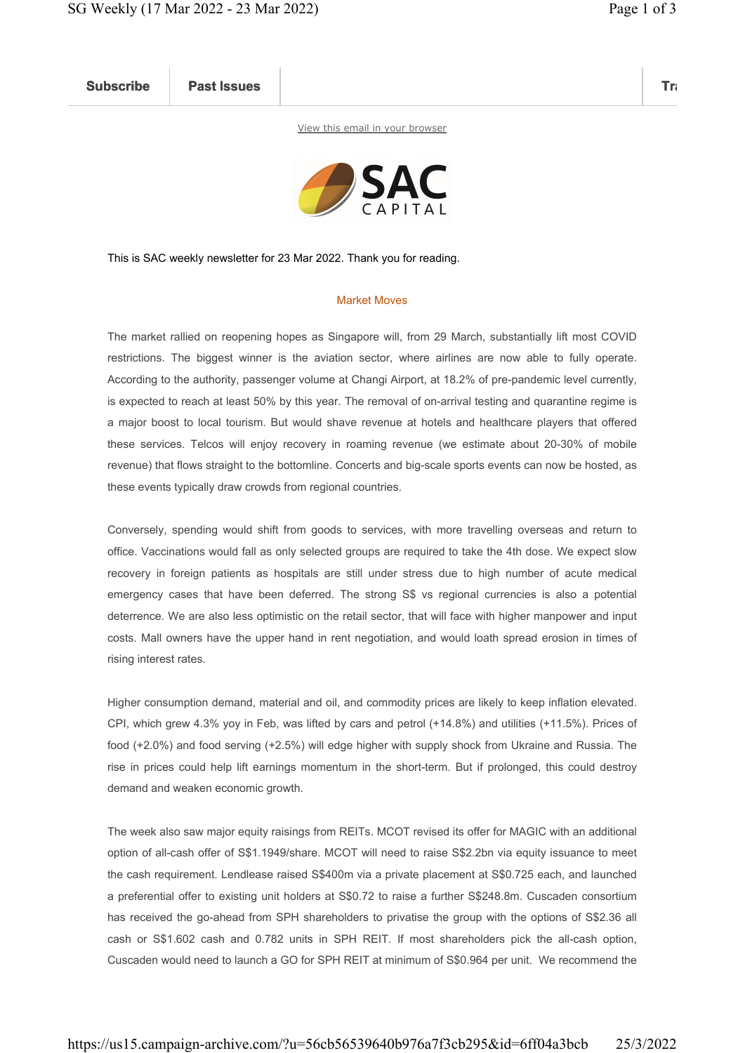Subscribe Past Issues Translate Past Issues Translate Past Issue Inc. 2014 and 2014 and 2014 and 2014 and 2014

View this email in your browser



This is SAC weekly newsletter for 23 Mar 2022. Thank you for reading.

## Market Moves

The market rallied on reopening hopes as Singapore will, from 29 March, substantially lift most COVID restrictions. The biggest winner is the aviation sector, where airlines are now able to fully operate. According to the authority, passenger volume at Changi Airport, at 18.2% of pre-pandemic level currently, is expected to reach at least 50% by this year. The removal of on-arrival testing and quarantine regime is a major boost to local tourism. But would shave revenue at hotels and healthcare players that offered these services. Telcos will enjoy recovery in roaming revenue (we estimate about 20-30% of mobile revenue) that flows straight to the bottomline. Concerts and big-scale sports events can now be hosted, as these events typically draw crowds from regional countries.

Conversely, spending would shift from goods to services, with more travelling overseas and return to office. Vaccinations would fall as only selected groups are required to take the 4th dose. We expect slow recovery in foreign patients as hospitals are still under stress due to high number of acute medical emergency cases that have been deferred. The strong S\$ vs regional currencies is also a potential deterrence. We are also less optimistic on the retail sector, that will face with higher manpower and input costs. Mall owners have the upper hand in rent negotiation, and would loath spread erosion in times of rising interest rates.

Higher consumption demand, material and oil, and commodity prices are likely to keep inflation elevated. CPI, which grew 4.3% yoy in Feb, was lifted by cars and petrol (+14.8%) and utilities (+11.5%). Prices of food (+2.0%) and food serving (+2.5%) will edge higher with supply shock from Ukraine and Russia. The rise in prices could help lift earnings momentum in the short-term. But if prolonged, this could destroy demand and weaken economic growth.

The week also saw major equity raisings from REITs. MCOT revised its offer for MAGIC with an additional option of all-cash offer of S\$1.1949/share. MCOT will need to raise S\$2.2bn via equity issuance to meet the cash requirement. Lendlease raised S\$400m via a private placement at S\$0.725 each, and launched a preferential offer to existing unit holders at S\$0.72 to raise a further S\$248.8m. Cuscaden consortium has received the go-ahead from SPH shareholders to privatise the group with the options of S\$2.36 all cash or S\$1.602 cash and 0.782 units in SPH REIT. If most shareholders pick the all-cash option, Cuscaden would need to launch a GO for SPH REIT at minimum of S\$0.964 per unit. We recommend the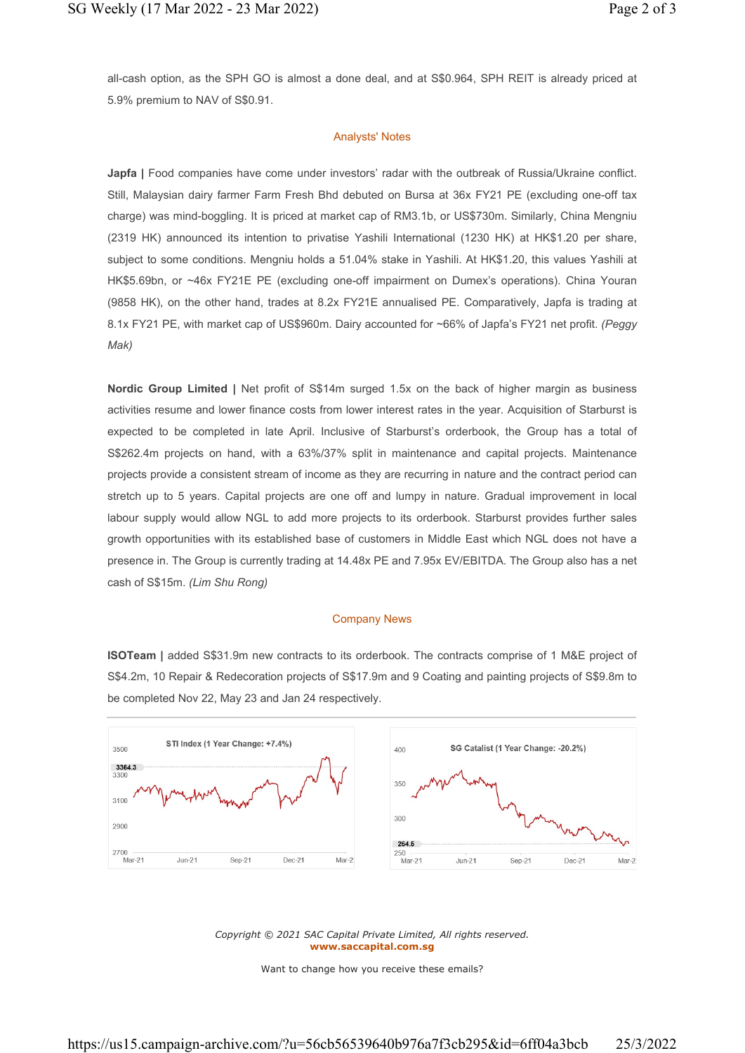all-cash option, as the SPH GO is almost a done deal, and at S\$0.964, SPH REIT is already priced at 5.9% premium to NAV of S\$0.91.

## Analysts' Notes

Japfa | Food companies have come under investors' radar with the outbreak of Russia/Ukraine conflict. Still, Malaysian dairy farmer Farm Fresh Bhd debuted on Bursa at 36x FY21 PE (excluding one-off tax charge) was mind-boggling. It is priced at market cap of RM3.1b, or US\$730m. Similarly, China Mengniu (2319 HK) announced its intention to privatise Yashili International (1230 HK) at HK\$1.20 per share, subject to some conditions. Mengniu holds a 51.04% stake in Yashili. At HK\$1.20, this values Yashili at HK\$5.69bn, or ~46x FY21E PE (excluding one-off impairment on Dumex's operations). China Youran (9858 HK), on the other hand, trades at 8.2x FY21E annualised PE. Comparatively, Japfa is trading at 8.1x FY21 PE, with market cap of US\$960m. Dairy accounted for ~66% of Japfa's FY21 net profit. (Peggy Mak)

Nordic Group Limited | Net profit of S\$14m surged 1.5x on the back of higher margin as business activities resume and lower finance costs from lower interest rates in the year. Acquisition of Starburst is expected to be completed in late April. Inclusive of Starburst's orderbook, the Group has a total of S\$262.4m projects on hand, with a 63%/37% split in maintenance and capital projects. Maintenance projects provide a consistent stream of income as they are recurring in nature and the contract period can stretch up to 5 years. Capital projects are one off and lumpy in nature. Gradual improvement in local labour supply would allow NGL to add more projects to its orderbook. Starburst provides further sales growth opportunities with its established base of customers in Middle East which NGL does not have a presence in. The Group is currently trading at 14.48x PE and 7.95x EV/EBITDA. The Group also has a net cash of S\$15m. (Lim Shu Rong)

## Company News

ISOTeam | added S\$31.9m new contracts to its orderbook. The contracts comprise of 1 M&E project of S\$4.2m, 10 Repair & Redecoration projects of S\$17.9m and 9 Coating and painting projects of S\$9.8m to be completed Nov 22, May 23 and Jan 24 respectively.



Copyright © 2021 SAC Capital Private Limited, All rights reserved. www.saccapital.com.sg

Want to change how you receive these emails?